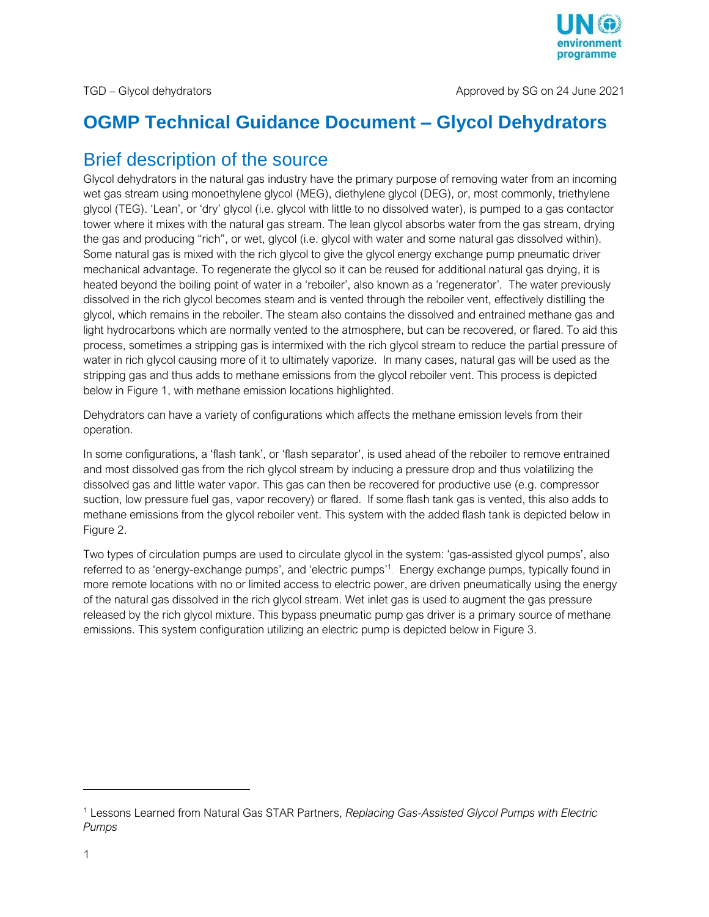

## **OGMP Technical Guidance Document – Glycol Dehydrators**

## Brief description of the source

Glycol dehydrators in the natural gas industry have the primary purpose of removing water from an incoming wet gas stream using monoethylene glycol (MEG), diethylene glycol (DEG), or, most commonly, triethylene glycol (TEG). 'Lean', or 'dry' glycol (i.e. glycol with little to no dissolved water), is pumped to a gas contactor tower where it mixes with the natural gas stream. The lean glycol absorbs water from the gas stream, drying the gas and producing "rich", or wet, glycol (i.e. glycol with water and some natural gas dissolved within). Some natural gas is mixed with the rich glycol to give the glycol energy exchange pump pneumatic driver mechanical advantage. To regenerate the glycol so it can be reused for additional natural gas drying, it is heated beyond the boiling point of water in a 'reboiler', also known as a 'regenerator'. The water previously dissolved in the rich glycol becomes steam and is vented through the reboiler vent, effectively distilling the glycol, which remains in the reboiler. The steam also contains the dissolved and entrained methane gas and light hydrocarbons which are normally vented to the atmosphere, but can be recovered, or flared. To aid this process, sometimes a stripping gas is intermixed with the rich glycol stream to reduce the partial pressure of water in rich glycol causing more of it to ultimately vaporize. In many cases, natural gas will be used as the stripping gas and thus adds to methane emissions from the glycol reboiler vent. This process is depicted below in Figure 1, with methane emission locations highlighted.

Dehydrators can have a variety of configurations which affects the methane emission levels from their operation.

In some configurations, a 'flash tank', or 'flash separator', is used ahead of the reboiler to remove entrained and most dissolved gas from the rich glycol stream by inducing a pressure drop and thus volatilizing the dissolved gas and little water vapor. This gas can then be recovered for productive use (e.g. compressor suction, low pressure fuel gas, vapor recovery) or flared. If some flash tank gas is vented, this also adds to methane emissions from the glycol reboiler vent. This system with the added flash tank is depicted below in Figure 2.

Two types of circulation pumps are used to circulate glycol in the system: 'gas-assisted glycol pumps', also referred to as 'energy-exchange pumps', and 'electric pumps' 1 . Energy exchange pumps, typically found in more remote locations with no or limited access to electric power, are driven pneumatically using the energy of the natural gas dissolved in the rich glycol stream. Wet inlet gas is used to augment the gas pressure released by the rich glycol mixture. This bypass pneumatic pump gas driver is a primary source of methane emissions. This system configuration utilizing an electric pump is depicted below in Figure 3.

 $\overline{a}$ 

<sup>1</sup> Lessons Learned from Natural Gas STAR Partners, *Replacing Gas-Assisted Glycol Pumps with Electric Pumps*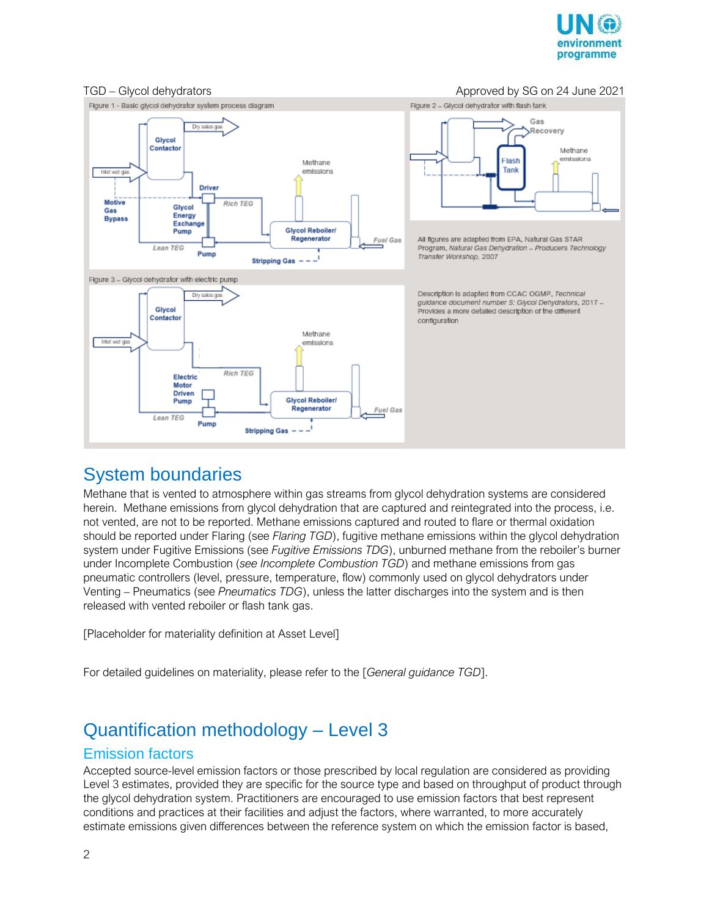



### System boundaries

Methane that is vented to atmosphere within gas streams from glycol dehydration systems are considered herein. Methane emissions from glycol dehydration that are captured and reintegrated into the process, i.e. not vented, are not to be reported. Methane emissions captured and routed to flare or thermal oxidation should be reported under Flaring (see *Flaring TGD*), fugitive methane emissions within the glycol dehydration system under Fugitive Emissions (see *Fugitive Emissions TDG*), unburned methane from the reboiler's burner under Incomplete Combustion (*see Incomplete Combustion TGD*) and methane emissions from gas pneumatic controllers (level, pressure, temperature, flow) commonly used on glycol dehydrators under Venting – Pneumatics (see *Pneumatics TDG*), unless the latter discharges into the system and is then released with vented reboiler or flash tank gas.

[Placeholder for materiality definition at Asset Level]

For detailed guidelines on materiality, please refer to the [*General guidance TGD*].

## Quantification methodology – Level 3

### Emission factors

Accepted source-level emission factors or those prescribed by local regulation are considered as providing Level 3 estimates, provided they are specific for the source type and based on throughput of product through the glycol dehydration system. Practitioners are encouraged to use emission factors that best represent conditions and practices at their facilities and adjust the factors, where warranted, to more accurately estimate emissions given differences between the reference system on which the emission factor is based,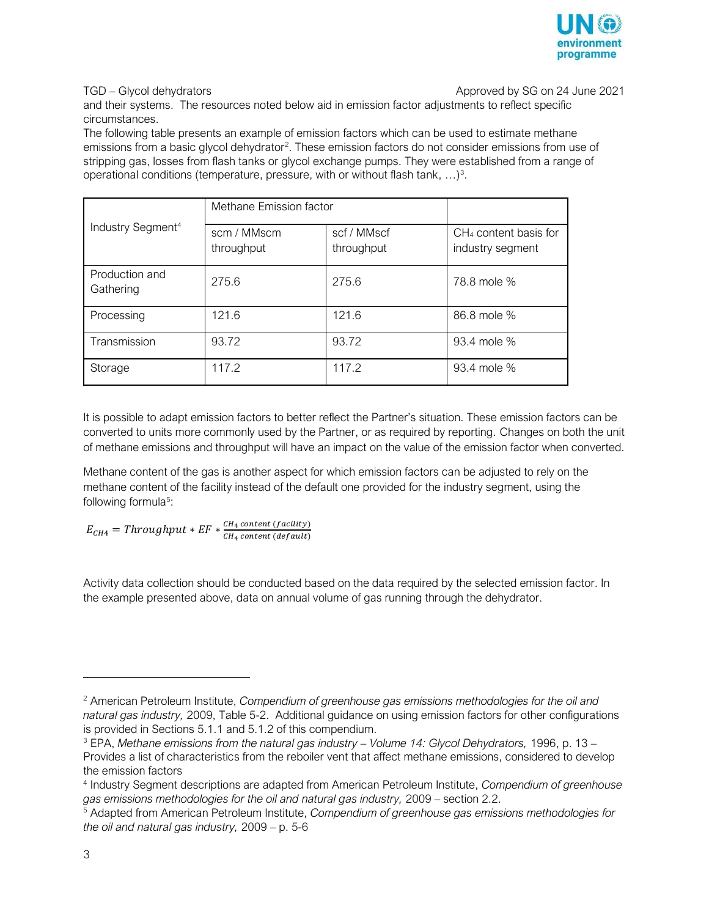

TGD – Glycol dehydrators **Approved by SG on 24 June 2021** 

and their systems. The resources noted below aid in emission factor adjustments to reflect specific circumstances.

The following table presents an example of emission factors which can be used to estimate methane emissions from a basic glycol dehydrator<sup>2</sup>. These emission factors do not consider emissions from use of stripping gas, losses from flash tanks or glycol exchange pumps. They were established from a range of operational conditions (temperature, pressure, with or without flash tank,  $\ldots$ )<sup>3</sup>.

| Industry Segment <sup>4</sup> | Methane Emission factor   |                           |                                                       |
|-------------------------------|---------------------------|---------------------------|-------------------------------------------------------|
|                               | scm / MMscm<br>throughput | scf / MMscf<br>throughput | CH <sub>4</sub> content basis for<br>industry segment |
| Production and<br>Gathering   | 275.6                     | 275.6                     | 78.8 mole %                                           |
| Processing                    | 121.6                     | 121.6                     | 86.8 mole %                                           |
| Transmission                  | 93.72                     | 93.72                     | 93.4 mole %                                           |
| Storage                       | 117.2                     | 117.2                     | 93.4 mole %                                           |

It is possible to adapt emission factors to better reflect the Partner's situation. These emission factors can be converted to units more commonly used by the Partner, or as required by reporting. Changes on both the unit of methane emissions and throughput will have an impact on the value of the emission factor when converted.

Methane content of the gas is another aspect for which emission factors can be adjusted to rely on the methane content of the facility instead of the default one provided for the industry segment, using the following formula<sup>5</sup>:

 $E_{CH4}$  = Throughput \* EF \*  $\frac{CH_4 \, content \, (facility)}{CH_4 \, content \, (default)}$ 4 ()

Activity data collection should be conducted based on the data required by the selected emission factor. In the example presented above, data on annual volume of gas running through the dehydrator.

 $\overline{a}$ 

<sup>2</sup> American Petroleum Institute, *Compendium of greenhouse gas emissions methodologies for the oil and natural gas industry,* 2009, Table 5-2. Additional guidance on using emission factors for other configurations is provided in Sections 5.1.1 and 5.1.2 of this compendium.

<sup>3</sup> EPA, *Methane emissions from the natural gas industry – Volume 14: Glycol Dehydrators,* 1996, p. 13 – Provides a list of characteristics from the reboiler vent that affect methane emissions, considered to develop the emission factors

<sup>4</sup> Industry Segment descriptions are adapted from American Petroleum Institute, *Compendium of greenhouse gas emissions methodologies for the oil and natural gas industry,* 2009 – section 2.2.

<sup>5</sup> Adapted from American Petroleum Institute, *Compendium of greenhouse gas emissions methodologies for the oil and natural gas industry,* 2009 – p. 5-6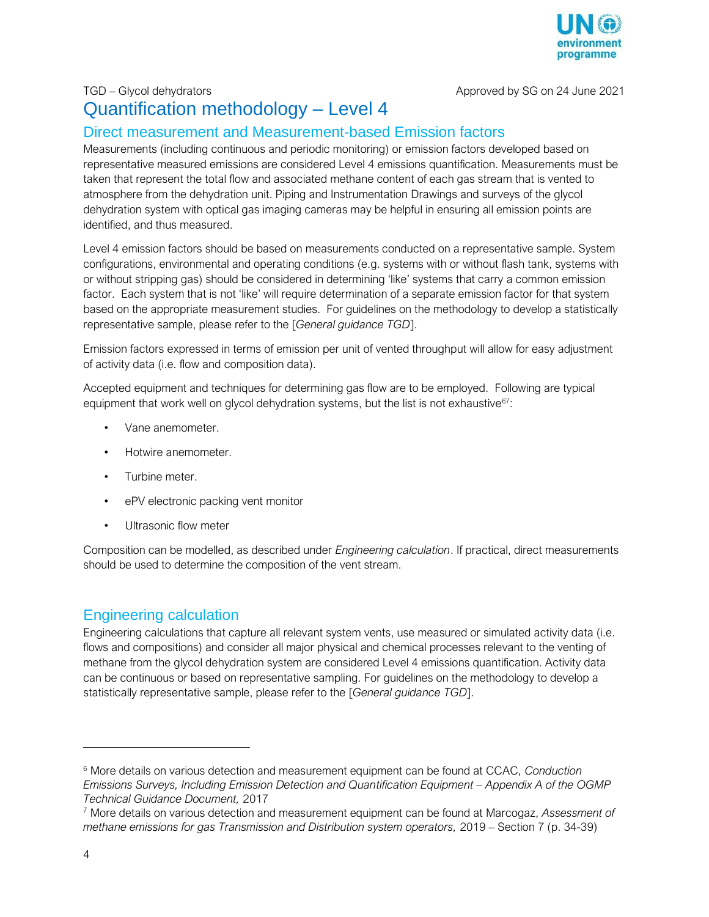

TGD – Glycol dehydrators and the state of the Approved by SG on 24 June 2021

## Quantification methodology – Level 4

### Direct measurement and Measurement-based Emission factors

Measurements (including continuous and periodic monitoring) or emission factors developed based on representative measured emissions are considered Level 4 emissions quantification. Measurements must be taken that represent the total flow and associated methane content of each gas stream that is vented to atmosphere from the dehydration unit. Piping and Instrumentation Drawings and surveys of the glycol dehydration system with optical gas imaging cameras may be helpful in ensuring all emission points are identified, and thus measured.

Level 4 emission factors should be based on measurements conducted on a representative sample. System configurations, environmental and operating conditions (e.g. systems with or without flash tank, systems with or without stripping gas) should be considered in determining 'like' systems that carry a common emission factor. Each system that is not 'like' will require determination of a separate emission factor for that system based on the appropriate measurement studies. For guidelines on the methodology to develop a statistically representative sample, please refer to the [*General guidance TGD*].

Emission factors expressed in terms of emission per unit of vented throughput will allow for easy adjustment of activity data (i.e. flow and composition data).

Accepted equipment and techniques for determining gas flow are to be employed. Following are typical equipment that work well on glycol dehydration systems, but the list is not exhaustive<sup>67</sup>:

- Vane anemometer.
- Hotwire anemometer.
- Turbine meter.
- ePV electronic packing vent monitor
- Ultrasonic flow meter

Composition can be modelled, as described under *Engineering calculation*. If practical, direct measurements should be used to determine the composition of the vent stream.

### Engineering calculation

Engineering calculations that capture all relevant system vents, use measured or simulated activity data (i.e. flows and compositions) and consider all major physical and chemical processes relevant to the venting of methane from the glycol dehydration system are considered Level 4 emissions quantification. Activity data can be continuous or based on representative sampling. For guidelines on the methodology to develop a statistically representative sample, please refer to the [*General guidance TGD*].

j

<sup>6</sup> More details on various detection and measurement equipment can be found at CCAC, *Conduction Emissions Surveys, Including Emission Detection and Quantification Equipment - Appendix A of the OGMP Technical Guidance Document,* 2017

<sup>7</sup> More details on various detection and measurement equipment can be found at Marcogaz, *Assessment of methane emissions for gas Transmission and Distribution system operators,* 2019 – Section 7 (p. 34-39)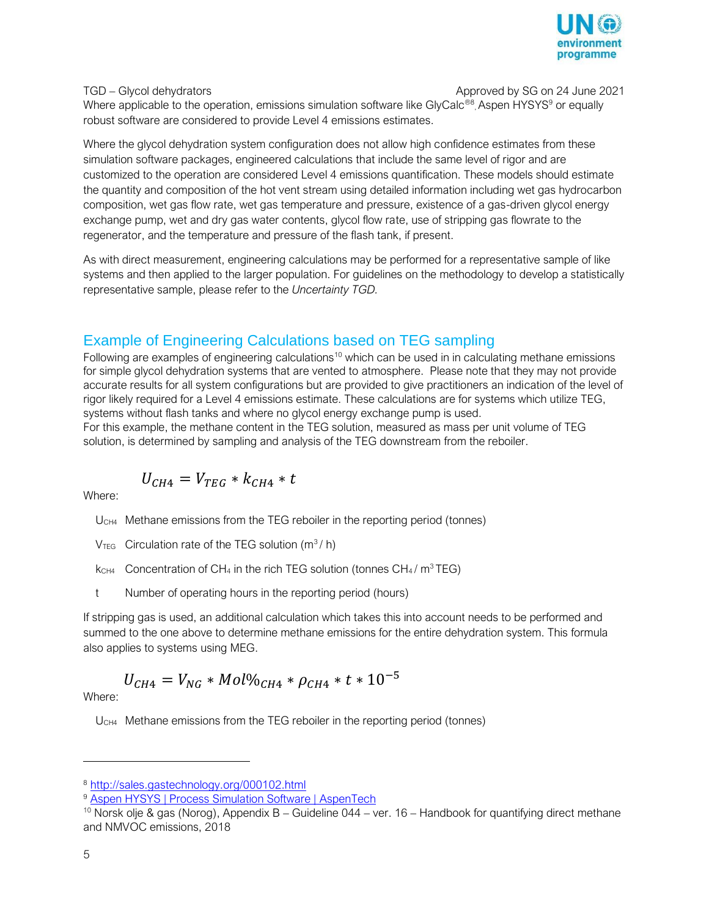

TGD – Glycol dehydrators **Approved by SG on 24 June 2021** 

Where applicable to the operation, emissions simulation software like GlyCalc®<sup>8</sup>, Aspen HYSYS<sup>9</sup> or equally robust software are considered to provide Level 4 emissions estimates.

Where the glycol dehydration system configuration does not allow high confidence estimates from these simulation software packages, engineered calculations that include the same level of rigor and are customized to the operation are considered Level 4 emissions quantification. These models should estimate the quantity and composition of the hot vent stream using detailed information including wet gas hydrocarbon composition, wet gas flow rate, wet gas temperature and pressure, existence of a gas-driven glycol energy exchange pump, wet and dry gas water contents, glycol flow rate, use of stripping gas flowrate to the regenerator, and the temperature and pressure of the flash tank, if present.

As with direct measurement, engineering calculations may be performed for a representative sample of like systems and then applied to the larger population. For guidelines on the methodology to develop a statistically representative sample, please refer to the *Uncertainty TGD.*

### Example of Engineering Calculations based on TEG sampling

Following are examples of engineering calculations<sup>10</sup> which can be used in in calculating methane emissions for simple glycol dehydration systems that are vented to atmosphere. Please note that they may not provide accurate results for all system configurations but are provided to give practitioners an indication of the level of rigor likely required for a Level 4 emissions estimate. These calculations are for systems which utilize TEG, systems without flash tanks and where no glycol energy exchange pump is used.

For this example, the methane content in the TEG solution, measured as mass per unit volume of TEG solution, is determined by sampling and analysis of the TEG downstream from the reboiler.

$$
U_{CH4} = V_{TEG} * k_{CH4} * t
$$

Where:

U<sub>CH4</sub> Methane emissions from the TEG reboiler in the reporting period (tonnes)

- $V_{\text{TEG}}$  Circulation rate of the TEG solution (m<sup>3</sup>/h)
- $k<sub>CH4</sub>$  Concentration of CH<sub>4</sub> in the rich TEG solution (tonnes CH<sub>4</sub>/m<sup>3</sup> TEG)
- t Number of operating hours in the reporting period (hours)

If stripping gas is used, an additional calculation which takes this into account needs to be performed and summed to the one above to determine methane emissions for the entire dehydration system. This formula also applies to systems using MEG.

# $U_{CH4} = V_{NG} * Mol\%_{CH4} * \rho_{CH4} * t * 10^{-5}$

Where:

U<sub>CH4</sub> Methane emissions from the TEG reboiler in the reporting period (tonnes)

j

<sup>8</sup> <http://sales.gastechnology.org/000102.html>

<sup>&</sup>lt;sup>9</sup> [Aspen HYSYS | Process Simulation Software | AspenTech](https://www.aspentech.com/products/engineering/aspen-hysys)

<sup>&</sup>lt;sup>10</sup> Norsk olje & gas (Norog), Appendix B – Guideline 044 – ver. 16 – Handbook for quantifying direct methane and NMVOC emissions, 2018